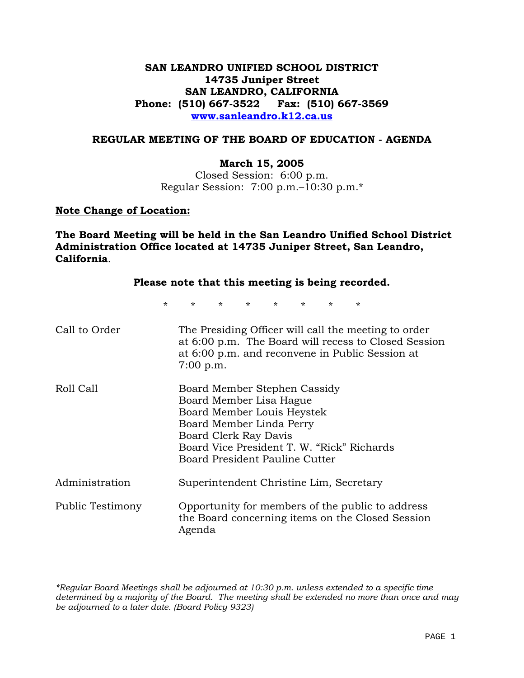## **SAN LEANDRO UNIFIED SCHOOL DISTRICT 14735 Juniper Street SAN LEANDRO, CALIFORNIA Phone: (510) 667-3522 Fax: (510) 667-3569 www.sanleandro.k12.ca.us**

#### **REGULAR MEETING OF THE BOARD OF EDUCATION - AGENDA**

#### **March 15, 2005**

Closed Session: 6:00 p.m. Regular Session: 7:00 p.m.–10:30 p.m.\*

#### **Note Change of Location:**

**The Board Meeting will be held in the San Leandro Unified School District Administration Office located at 14735 Juniper Street, San Leandro, California**.

#### **Please note that this meeting is being recorded.**

\* \* \* \* \* \* \* \*

| Call to Order    | The Presiding Officer will call the meeting to order<br>at 6:00 p.m. The Board will recess to Closed Session<br>at 6:00 p.m. and reconvene in Public Session at<br>7:00 p.m.                                                      |
|------------------|-----------------------------------------------------------------------------------------------------------------------------------------------------------------------------------------------------------------------------------|
| Roll Call        | Board Member Stephen Cassidy<br>Board Member Lisa Hague<br>Board Member Louis Heystek<br>Board Member Linda Perry<br>Board Clerk Ray Davis<br>Board Vice President T. W. "Rick" Richards<br><b>Board President Pauline Cutter</b> |
| Administration   | Superintendent Christine Lim, Secretary                                                                                                                                                                                           |
| Public Testimony | Opportunity for members of the public to address<br>the Board concerning items on the Closed Session<br>Agenda                                                                                                                    |

*\*Regular Board Meetings shall be adjourned at 10:30 p.m. unless extended to a specific time determined by a majority of the Board. The meeting shall be extended no more than once and may be adjourned to a later date. (Board Policy 9323)*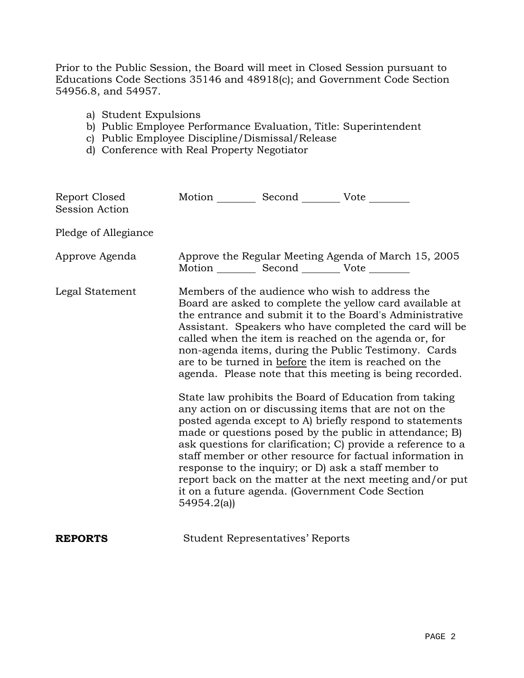Prior to the Public Session, the Board will meet in Closed Session pursuant to Educations Code Sections 35146 and 48918(c); and Government Code Section 54956.8, and 54957.

- a) Student Expulsions
- b) Public Employee Performance Evaluation, Title: Superintendent
- c) Public Employee Discipline/Dismissal/Release
- d) Conference with Real Property Negotiator

| Report Closed<br><b>Session Action</b> | Motion __________ Second __________ Vote ________ |                                         |                                                                                                                                                                                                                                                                                                                                                                                                                                                                                                                                                                                                                                                                                                                                                                                                                                                                                                                                                                                                                       |
|----------------------------------------|---------------------------------------------------|-----------------------------------------|-----------------------------------------------------------------------------------------------------------------------------------------------------------------------------------------------------------------------------------------------------------------------------------------------------------------------------------------------------------------------------------------------------------------------------------------------------------------------------------------------------------------------------------------------------------------------------------------------------------------------------------------------------------------------------------------------------------------------------------------------------------------------------------------------------------------------------------------------------------------------------------------------------------------------------------------------------------------------------------------------------------------------|
| Pledge of Allegiance                   |                                                   |                                         |                                                                                                                                                                                                                                                                                                                                                                                                                                                                                                                                                                                                                                                                                                                                                                                                                                                                                                                                                                                                                       |
| Approve Agenda                         | Motion __________ Second __________ Vote ________ |                                         | Approve the Regular Meeting Agenda of March 15, 2005                                                                                                                                                                                                                                                                                                                                                                                                                                                                                                                                                                                                                                                                                                                                                                                                                                                                                                                                                                  |
| Legal Statement                        | 54954.2(a)                                        |                                         | Members of the audience who wish to address the<br>Board are asked to complete the yellow card available at<br>the entrance and submit it to the Board's Administrative<br>Assistant. Speakers who have completed the card will be<br>called when the item is reached on the agenda or, for<br>non-agenda items, during the Public Testimony. Cards<br>are to be turned in before the item is reached on the<br>agenda. Please note that this meeting is being recorded.<br>State law prohibits the Board of Education from taking<br>any action on or discussing items that are not on the<br>posted agenda except to A) briefly respond to statements<br>made or questions posed by the public in attendance; B)<br>ask questions for clarification; C provide a reference to a<br>staff member or other resource for factual information in<br>response to the inquiry; or D) ask a staff member to<br>report back on the matter at the next meeting and/or put<br>it on a future agenda. (Government Code Section |
| <b>REPORTS</b>                         |                                                   | <b>Student Representatives' Reports</b> |                                                                                                                                                                                                                                                                                                                                                                                                                                                                                                                                                                                                                                                                                                                                                                                                                                                                                                                                                                                                                       |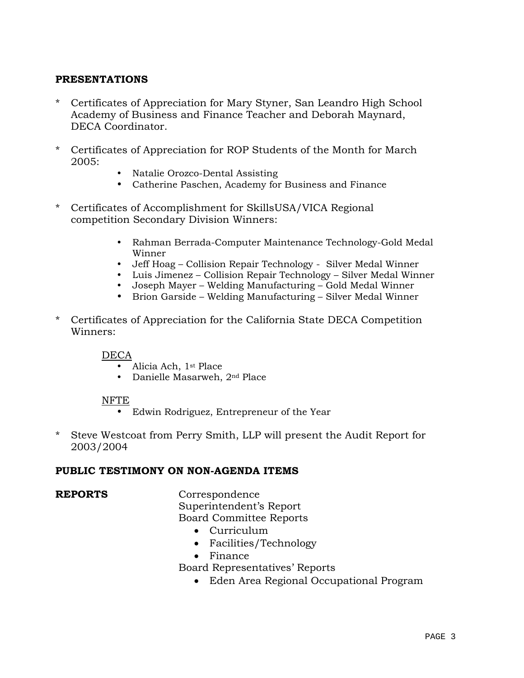## **PRESENTATIONS**

- Certificates of Appreciation for Mary Styner, San Leandro High School Academy of Business and Finance Teacher and Deborah Maynard, DECA Coordinator.
- \* Certificates of Appreciation for ROP Students of the Month for March 2005:
	- Natalie Orozco-Dental Assisting
	- Catherine Paschen, Academy for Business and Finance
- \* Certificates of Accomplishment for SkillsUSA/VICA Regional competition Secondary Division Winners:
	- Rahman Berrada-Computer Maintenance Technology-Gold Medal Winner
	- Jeff Hoag Collision Repair Technology Silver Medal Winner
	- Luis Jimenez Collision Repair Technology Silver Medal Winner
	- Joseph Mayer Welding Manufacturing Gold Medal Winner
	- Brion Garside Welding Manufacturing Silver Medal Winner
- \* Certificates of Appreciation for the California State DECA Competition Winners:

DECA

- Alicia Ach, 1st Place
- Danielle Masarweh, 2<sup>nd</sup> Place

#### NFTE

- Edwin Rodriguez, Entrepreneur of the Year
- \* Steve Westcoat from Perry Smith, LLP will present the Audit Report for 2003/2004

#### **PUBLIC TESTIMONY ON NON-AGENDA ITEMS**

**REPORTS** Correspondence Superintendent's Report Board Committee Reports

- Curriculum
- Facilities/Technology
- Finance

Board Representatives' Reports

• Eden Area Regional Occupational Program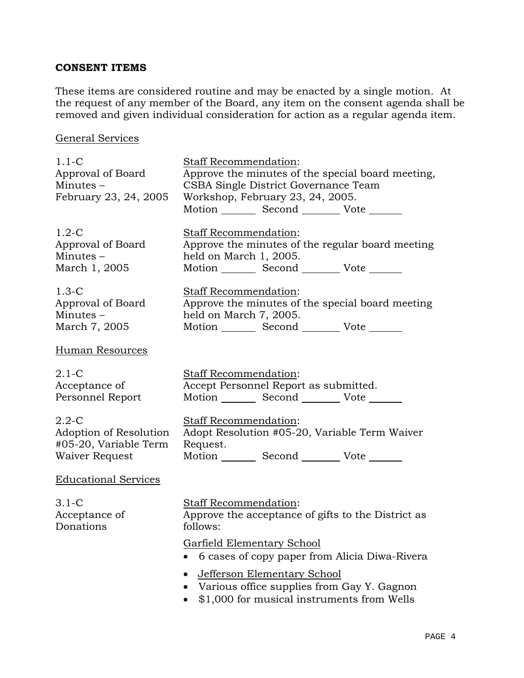# **CONSENT ITEMS**

These items are considered routine and may be enacted by a single motion. At the request of any member of the Board, any item on the consent agenda shall be removed and given individual consideration for action as a regular agenda item.

## General Services

| $1.1-C$<br>Approval of Board<br>Minutes-<br>February 23, 24, 2005              | Staff Recommendation:<br>Approve the minutes of the special board meeting,<br>CSBA Single District Governance Team<br>Workshop, February 23, 24, 2005.<br>Motion _________ Second __________ Vote ______ |  |  |
|--------------------------------------------------------------------------------|----------------------------------------------------------------------------------------------------------------------------------------------------------------------------------------------------------|--|--|
| $1.2-C$<br>Approval of Board<br>Minutes-<br>March 1, 2005                      | Staff Recommendation:<br>Approve the minutes of the regular board meeting<br>held on March 1, 2005.<br>Motion _________ Second __________ Vote _______                                                   |  |  |
| $1.3-C$<br>Approval of Board<br>Minutes –<br>March 7, 2005                     | Staff Recommendation:<br>Approve the minutes of the special board meeting<br>held on March 7, 2005.<br>Motion _________ Second __________ Vote _______                                                   |  |  |
| Human Resources                                                                |                                                                                                                                                                                                          |  |  |
| $2.1-C$<br>Acceptance of<br>Personnel Report                                   | Staff Recommendation:<br>Accept Personnel Report as submitted.<br>Motion _________ Second __________ Vote _______                                                                                        |  |  |
| $2.2 - C$<br>Adoption of Resolution<br>#05-20, Variable Term<br>Waiver Request | Staff Recommendation:<br>Adopt Resolution #05-20, Variable Term Waiver<br>Request.<br>Motion _________ Second __________ Vote _______                                                                    |  |  |
| <b>Educational Services</b>                                                    |                                                                                                                                                                                                          |  |  |
| $3.1-C$<br>Acceptance of<br>Donations                                          | Staff Recommendation:<br>Approve the acceptance of gifts to the District as<br>follows:                                                                                                                  |  |  |
|                                                                                | <b>Garfield Elementary School</b><br>6 cases of copy paper from Alicia Diwa-Rivera                                                                                                                       |  |  |
|                                                                                | <b>Jefferson Elementary School</b><br>Various office supplies from Gay Y. Gagnon<br>\$1,000 for musical instruments from Wells                                                                           |  |  |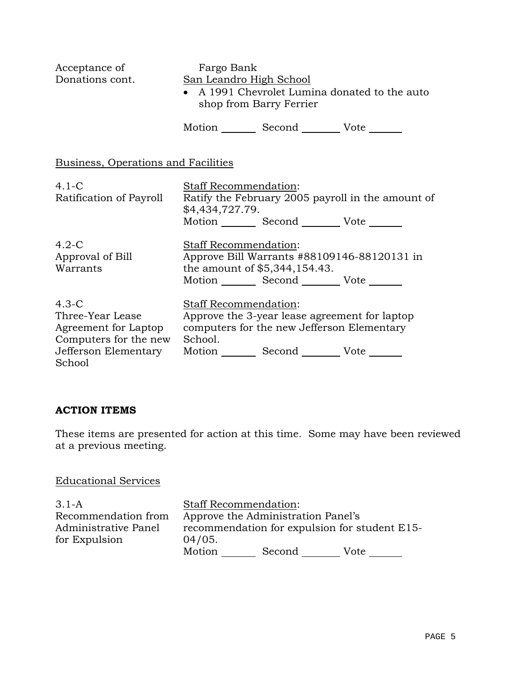| Acceptance of<br>Donations cont.                                                                               | Fargo Bank<br>San Leandro High School           | shop from Barry Ferrier                                                                                                  | • A 1991 Chevrolet Lumina donated to the auto     |
|----------------------------------------------------------------------------------------------------------------|-------------------------------------------------|--------------------------------------------------------------------------------------------------------------------------|---------------------------------------------------|
|                                                                                                                |                                                 | Motion Second Vote ______                                                                                                |                                                   |
| Business, Operations and Facilities                                                                            |                                                 |                                                                                                                          |                                                   |
| $4.1-C$<br>Ratification of Payroll                                                                             | <b>Staff Recommendation:</b><br>\$4,434,727.79. | Motion Second Vote ______                                                                                                | Ratify the February 2005 payroll in the amount of |
| $4.2-C$<br>Approval of Bill<br>Warrants                                                                        | <b>Staff Recommendation:</b>                    | the amount of \$5,344,154.43.<br>Motion Second Vote                                                                      | Approve Bill Warrants #88109146-88120131 in       |
| $4.3-C$<br>Three-Year Lease<br>Agreement for Laptop<br>Computers for the new<br>Jefferson Elementary<br>School | Staff Recommendation:<br>School.                | Approve the 3-year lease agreement for laptop<br>computers for the new Jefferson Elementary<br>Motion Second Vote ______ |                                                   |

## **ACTION ITEMS**

These items are presented for action at this time. Some may have been reviewed at a previous meeting.

### Educational Services

3.1-A Recommendation from Administrative Panel for Expulsion Staff Recommendation: Approve the Administration Panel's recommendation for expulsion for student E15- 04/05. Motion Second Vote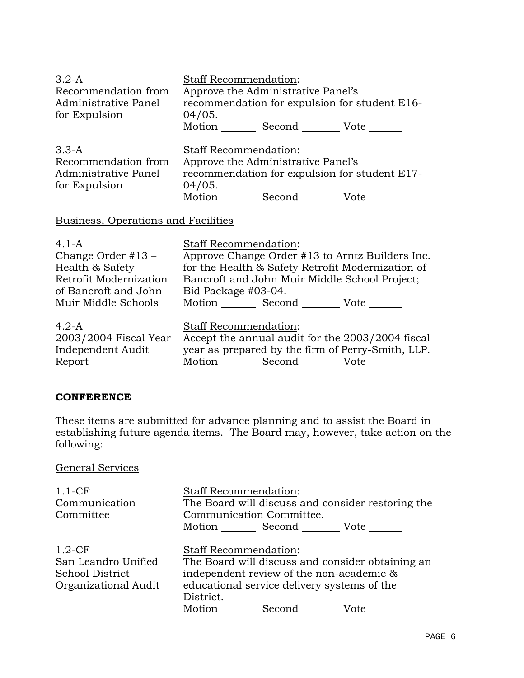| $3.2-A$<br>Recommendation from<br>Administrative Panel<br>for Expulsion   | <b>Staff Recommendation:</b><br>Approve the Administrative Panel's<br>recommendation for expulsion for student E16-<br>04/05.<br>Motion Second Vote |
|---------------------------------------------------------------------------|-----------------------------------------------------------------------------------------------------------------------------------------------------|
| $3.3 - A$<br>Recommendation from<br>Administrative Panel<br>for Expulsion | <b>Staff Recommendation:</b><br>Approve the Administrative Panel's<br>recommendation for expulsion for student E17-<br>04/05.<br>Motion Second Vote |
| Business, Operations and Facilities                                       |                                                                                                                                                     |
| 11 A                                                                      | $Q_{\text{tot}}$ $\Omega$ December of $\Omega$                                                                                                      |

| $4.1 - A$              | <b>Staff Recommendation:</b>                      |
|------------------------|---------------------------------------------------|
| Change Order $#13 -$   | Approve Change Order #13 to Arntz Builders Inc.   |
| Health & Safety        | for the Health & Safety Retrofit Modernization of |
| Retrofit Modernization | Bancroft and John Muir Middle School Project;     |
| of Bancroft and John   | Bid Package #03-04.                               |
| Muir Middle Schools    | Motion Second Vote                                |
| $4.2-A$                | <b>Staff Recommendation:</b>                      |
| 2003/2004 Fiscal Year  | Accept the annual audit for the 2003/2004 fiscal  |
| Independent Audit      | year as prepared by the firm of Perry-Smith, LLP. |
| Report                 | Motion _______ Second _________ Vote ______       |

## **CONFERENCE**

These items are submitted for advance planning and to assist the Board in establishing future agenda items. The Board may, however, take action on the following:

# General Services

| $1.1-CF$             | <b>Staff Recommendation:</b>                      |
|----------------------|---------------------------------------------------|
| Communication        | The Board will discuss and consider restoring the |
| Committee            | Communication Committee.                          |
|                      | Motion Second Vote                                |
| $1.2-CF$             | <b>Staff Recommendation:</b>                      |
| San Leandro Unified  | The Board will discuss and consider obtaining an  |
| School District      | independent review of the non-academic &          |
| Organizational Audit | educational service delivery systems of the       |
|                      | District.                                         |
|                      | Motion _________ Second _______<br>Vote           |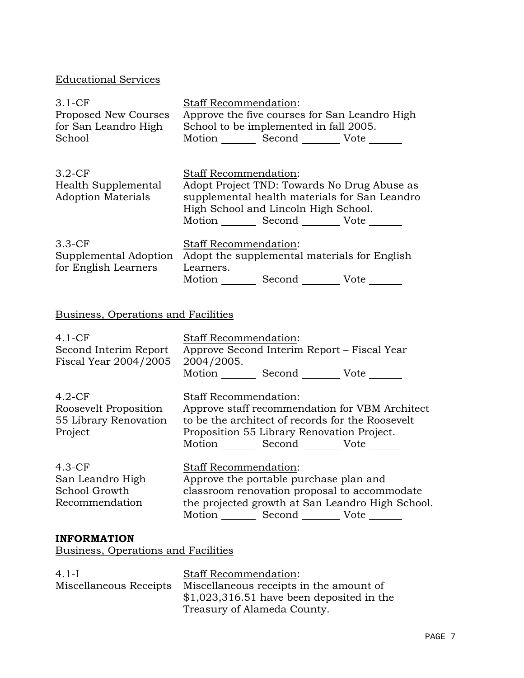# Educational Services

| $3.1-CF$<br>Proposed New Courses<br>for San Leandro High<br>School | <b>Staff Recommendation:</b><br>Approve the five courses for San Leandro High<br>School to be implemented in fall 2005.<br>Motion Second Vote |                                               |
|--------------------------------------------------------------------|-----------------------------------------------------------------------------------------------------------------------------------------------|-----------------------------------------------|
| $3.2-CF$<br>Health Supplemental<br><b>Adoption Materials</b>       | Staff Recommendation:<br>Adopt Project TND: Towards No Drug Abuse as<br>High School and Lincoln High School.<br>Motion Second Vote            | supplemental health materials for San Leandro |
| $3.3-CF$<br>Supplemental Adoption<br>for English Learners          | <b>Staff Recommendation:</b><br>Adopt the supplemental materials for English<br>Learners.<br>Motion _______ Second __________ Vote _____      |                                               |

# Business, Operations and Facilities

| $4.1-CF$<br>Second Interim Report<br>Fiscal Year 2004/2005            | <b>Staff Recommendation:</b><br>Approve Second Interim Report – Fiscal Year<br>2004/2005.<br>Motion _________ Second _________ Vote _______                                                            |
|-----------------------------------------------------------------------|--------------------------------------------------------------------------------------------------------------------------------------------------------------------------------------------------------|
| $4.2-CF$<br>Roosevelt Proposition<br>55 Library Renovation<br>Project | <b>Staff Recommendation:</b><br>Approve staff recommendation for VBM Architect<br>to be the architect of records for the Roosevelt<br>Proposition 55 Library Renovation Project.<br>Motion Second Vote |
| $4.3-CF$<br>San Leandro High<br>School Growth<br>Recommendation       | Staff Recommendation:<br>Approve the portable purchase plan and<br>classroom renovation proposal to accommodate<br>the projected growth at San Leandro High School.<br>Motion Second Vote              |
| <b>INFORMATION</b>                                                    |                                                                                                                                                                                                        |

Business, Operations and Facilities

| $4.1-I$                | <b>Staff Recommendation:</b>               |
|------------------------|--------------------------------------------|
| Miscellaneous Receipts | Miscellaneous receipts in the amount of    |
|                        | $$1,023,316.51$ have been deposited in the |
|                        | Treasury of Alameda County.                |